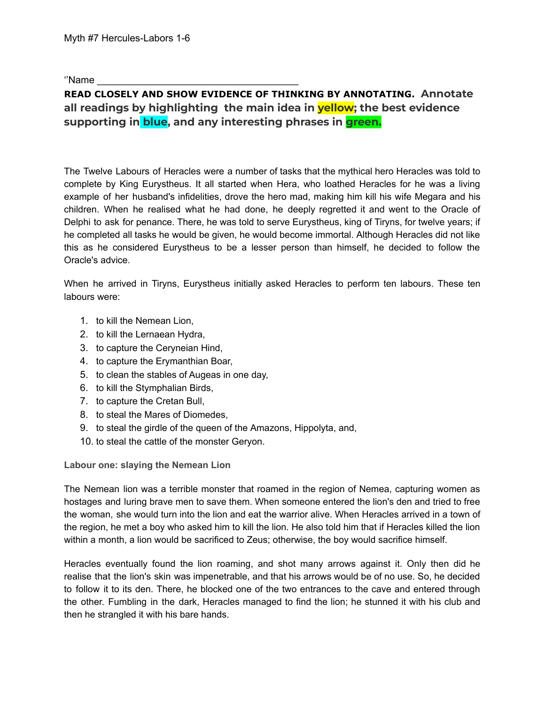''Name

# **READ CLOSELY AND SHOW EVIDENCE OF THINKING BY ANNOTATING. Annotate all readings by highlighting the main idea in yellow; the best evidence supporting in blue, and any interesting phrases in green.**

The Twelve Labours of [Heracles](https://www.greekmythology.com/Myths/The_Myths/Labours_of_Heracles/labours_of_heracles.html) were a number of tasks that the mythical [hero](https://www.greekmythology.com/Myths/Mortals/Hero/hero.html) [Heracles](https://www.greekmythology.com/Myths/Heroes/Heracles/heracles.html) was told to complete by King [Eurystheus](https://www.greekmythology.com/Myths/Mortals/Eurystheus/eurystheus.html). It all started when [Hera,](https://www.greekmythology.com/Olympians/Hera/hera.html) who loathed [Heracles](https://www.greekmythology.com/Myths/Heroes/Heracles/heracles.html) for he was a living example of her husband's infidelities, drove the [hero](https://www.greekmythology.com/Myths/Mortals/Hero/hero.html) mad, making him kill his wife Megara and his children. When he realised what he had done, he deeply regretted it and went to the Oracle of [Delphi](https://www.greekmythology.com/Myths/Places/Delphi/delphi.html) to ask for penance. There, he was told to serve [Eurystheus](https://www.greekmythology.com/Myths/Mortals/Eurystheus/eurystheus.html), king of Tiryns, for twelve years; if he completed all tasks he would be given, he would become immortal. Although [Heracles](https://www.greekmythology.com/Myths/Heroes/Heracles/heracles.html) did not like this as he considered [Eurystheus](https://www.greekmythology.com/Myths/Mortals/Eurystheus/eurystheus.html) to be a lesser person than himself, he decided to follow the Oracle's advice.

When he arrived in Tiryns, [Eurystheus](https://www.greekmythology.com/Myths/Mortals/Eurystheus/eurystheus.html) initially asked [Heracles](https://www.greekmythology.com/Myths/Heroes/Heracles/heracles.html) to perform ten labours. These ten labours were:

- 1. to kill the Nemean Lion,
- 2. to kill the Lernaean Hydra,
- 3. to capture the Ceryneian Hind,
- 4. to capture the Erymanthian Boar,
- 5. to clean the stables of Augeas in one day,
- 6. to kill the Stymphalian Birds,
- 7. to capture the [Cretan Bull](https://www.greekmythology.com/Myths/Creatures/Cretan_Bull/cretan_bull.html),
- 8. to steal the [Mares of Diomedes](https://www.greekmythology.com/Myths/Monsters/Mares_of_Diomedes/mares_of_diomedes.html),
- 9. to steal the girdle of the queen of the [Amazons](https://www.greekmythology.com/Myths/Figures/Amazons/amazons.html), [Hippolyta,](https://www.greekmythology.com/Myths/Mortals/Hippolyta/hippolyta.html) and,
- 10. to steal the cattle of the monster [Geryon.](https://www.greekmythology.com/Myths/Creatures/Geryon/geryon.html)

**Labour one: slaying the Nemean Lion**

The Nemean lion was a terrible monster that roamed in the region of [Nemea,](https://www.greekmythology.com/Myths/Places/Nemea/nemea.html) capturing women as hostages and luring brave men to save them. When someone entered the lion's den and tried to free the woman, she would turn into the lion and eat the warrior alive. When [Heracles](https://www.greekmythology.com/Myths/Heroes/Heracles/heracles.html) arrived in a town of the region, he met a boy who asked him to kill the lion. He also told him that if [Heracles](https://www.greekmythology.com/Myths/Heroes/Heracles/heracles.html) killed the lion within a month, a lion would be sacrificed to [Zeus;](https://www.greekmythology.com/Olympians/Zeus/zeus.html) otherwise, the boy would sacrifice himself.

[Heracles](https://www.greekmythology.com/Myths/Heroes/Heracles/heracles.html) eventually found the lion roaming, and shot many arrows against it. Only then did he realise that the lion's skin was impenetrable, and that his arrows would be of no use. So, he decided to follow it to its den. There, he blocked one of the two entrances to the cave and entered through the other. Fumbling in the dark, [Heracles](https://www.greekmythology.com/Myths/Heroes/Heracles/heracles.html) managed to find the lion; he stunned it with his club and then he strangled it with his bare hands.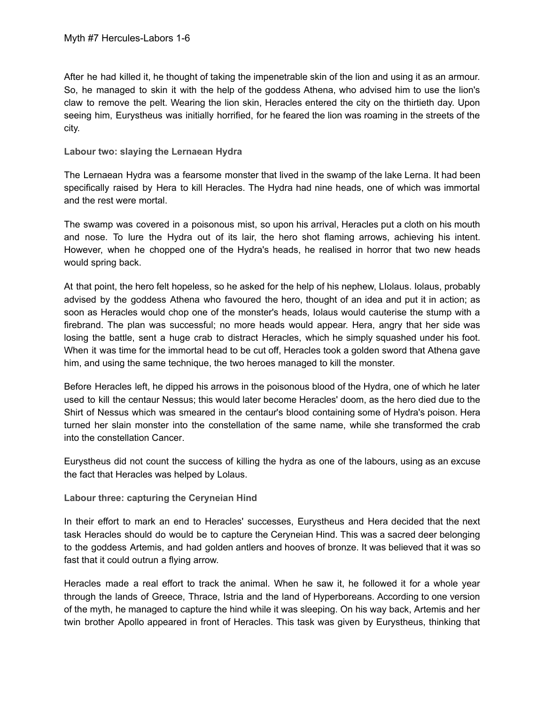After he had killed it, he thought of taking the impenetrable skin of the lion and using it as an armour. So, he managed to skin it with the help of the goddess [Athena,](https://www.greekmythology.com/Olympians/Athena/athena.html) who advised him to use the lion's claw to remove the pelt. Wearing the lion skin, [Heracles](https://www.greekmythology.com/Myths/Heroes/Heracles/heracles.html) entered the city on the thirtieth day. Upon seeing him, [Eurystheus](https://www.greekmythology.com/Myths/Mortals/Eurystheus/eurystheus.html) was initially horrified, for he feared the lion was roaming in the streets of the city.

#### **Labour two: slaying the Lernaean Hydra**

The Lernaean Hydra was a fearsome monster that lived in the swamp of the lake [Lerna.](https://www.greekmythology.com/Myths/Places/Lerna/lerna.html) It had been specifically raised by [Hera](https://www.greekmythology.com/Olympians/Hera/hera.html) to kill [Heracles.](https://www.greekmythology.com/Myths/Heroes/Heracles/heracles.html) The Hydra had nine heads, one of which was immortal and the rest were mortal.

The swamp was covered in a poisonous mist, so upon his arrival, [Heracles](https://www.greekmythology.com/Myths/Heroes/Heracles/heracles.html) put a cloth on his mouth and nose. To lure the Hydra out of its lair, the [hero](https://www.greekmythology.com/Myths/Mortals/Hero/hero.html) shot flaming arrows, achieving his intent. However, when he chopped one of the Hydra's heads, he realised in horror that two new heads would spring back.

At that point, the [hero](https://www.greekmythology.com/Myths/Mortals/Hero/hero.html) felt hopeless, so he asked for the help of his nephew, LIolaus. Iolaus, probably advised by the goddess [Athena](https://www.greekmythology.com/Olympians/Athena/athena.html) who favoured the [hero](https://www.greekmythology.com/Myths/Mortals/Hero/hero.html), thought of an idea and put it in action; as soon as [Heracles](https://www.greekmythology.com/Myths/Heroes/Heracles/heracles.html) would chop one of the monster's heads, Iolaus would cauterise the stump with a firebrand. The plan was successful; no more heads would appear. [Hera,](https://www.greekmythology.com/Olympians/Hera/hera.html) angry that her side was losing the battle, sent a huge crab to distract [Heracles,](https://www.greekmythology.com/Myths/Heroes/Heracles/heracles.html) which he simply squashed under his foot. When it was time for the immortal head to be cut off, [Heracles](https://www.greekmythology.com/Myths/Heroes/Heracles/heracles.html) took a golden sword that [Athena](https://www.greekmythology.com/Olympians/Athena/athena.html) gave him, and using the same technique, the two [heroes](https://www.greekmythology.com/Myths/Heroes/heroes.html) managed to kill the monster.

Before [Heracles](https://www.greekmythology.com/Myths/Heroes/Heracles/heracles.html) left, he dipped his arrows in the poisonous blood of the Hydra, one of which he later used to kill the [centaur](https://www.greekmythology.com/Myths/Creatures/Centaur/centaur.html) [Nessus](https://www.greekmythology.com/Myths/Creatures/Nessus/nessus.html); this would later become [Heracles](https://www.greekmythology.com/Myths/Heroes/Heracles/heracles.html)' doom, as the [hero](https://www.greekmythology.com/Myths/Mortals/Hero/hero.html) died due to the Shirt of [Nessus](https://www.greekmythology.com/Myths/Elements/Shirt_of_Nessus/shirt_of_nessus.html) which was smeared in the [centaur](https://www.greekmythology.com/Myths/Creatures/Centaur/centaur.html)'s blood containing some of Hydra's poison. [Hera](https://www.greekmythology.com/Olympians/Hera/hera.html) turned her slain monster into the constellation of the same name, while she transformed the crab into the constellation [Cancer](https://www.greekmythology.com/Myths/Zodiac/Cancer/cancer.html).

[Eurystheus](https://www.greekmythology.com/Myths/Mortals/Eurystheus/eurystheus.html) did not count the success of killing the hydra as one of the labours, using as an excuse the fact that [Heracles](https://www.greekmythology.com/Myths/Heroes/Heracles/heracles.html) was helped by Lolaus.

#### **Labour three: capturing the Ceryneian Hind**

In their effort to mark an end to [Heracles](https://www.greekmythology.com/Myths/Heroes/Heracles/heracles.html)' successes, [Eurystheus](https://www.greekmythology.com/Myths/Mortals/Eurystheus/eurystheus.html) and [Hera](https://www.greekmythology.com/Olympians/Hera/hera.html) decided that the next task [Heracles](https://www.greekmythology.com/Myths/Heroes/Heracles/heracles.html) should do would be to capture the Ceryneian Hind. This was a sacred deer belonging to the goddess [Artemis,](https://www.greekmythology.com/Olympians/Artemis/artemis.html) and had golden antlers and hooves of bronze. It was believed that it was so fast that it could outrun a flying arrow.

[Heracles](https://www.greekmythology.com/Myths/Heroes/Heracles/heracles.html) made a real effort to track the animal. When he saw it, he followed it for a whole year through the lands of Greece, Thrace, Istria and the land of Hyperboreans. According to one version of the myth, he managed to capture the hind while it was sleeping. On his way back, [Artemis](https://www.greekmythology.com/Olympians/Artemis/artemis.html) and her twin brother [Apollo](https://www.greekmythology.com/Olympians/Apollo/apollo.html) appeared in front of [Heracles](https://www.greekmythology.com/Myths/Heroes/Heracles/heracles.html). This task was given by [Eurystheus](https://www.greekmythology.com/Myths/Mortals/Eurystheus/eurystheus.html), thinking that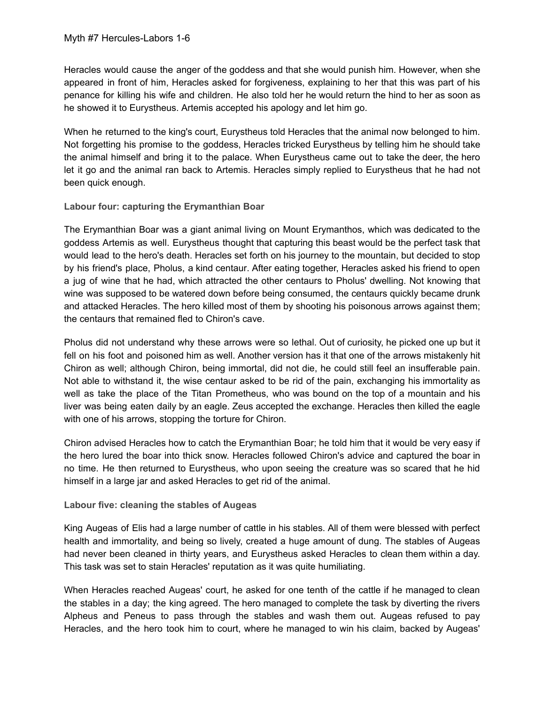[Heracles](https://www.greekmythology.com/Myths/Heroes/Heracles/heracles.html) would cause the anger of the goddess and that she would punish him. However, when she appeared in front of him, [Heracles](https://www.greekmythology.com/Myths/Heroes/Heracles/heracles.html) asked for forgiveness, explaining to her that this was part of his penance for killing his wife and children. He also told her he would return the hind to her as soon as he showed it to [Eurystheus](https://www.greekmythology.com/Myths/Mortals/Eurystheus/eurystheus.html). [Artemis](https://www.greekmythology.com/Olympians/Artemis/artemis.html) accepted his apology and let him go.

When he returned to the king's court, [Eurystheus](https://www.greekmythology.com/Myths/Mortals/Eurystheus/eurystheus.html) told [Heracles](https://www.greekmythology.com/Myths/Heroes/Heracles/heracles.html) that the animal now belonged to him. Not forgetting his promise to the goddess, [Heracles](https://www.greekmythology.com/Myths/Heroes/Heracles/heracles.html) tricked [Eurystheus](https://www.greekmythology.com/Myths/Mortals/Eurystheus/eurystheus.html) by telling him he should take the animal himself and bring it to the palace. When [Eurystheus](https://www.greekmythology.com/Myths/Mortals/Eurystheus/eurystheus.html) came out to take the deer, the [hero](https://www.greekmythology.com/Myths/Mortals/Hero/hero.html) let it go and the animal ran back to [Artemis.](https://www.greekmythology.com/Olympians/Artemis/artemis.html) [Heracles](https://www.greekmythology.com/Myths/Heroes/Heracles/heracles.html) simply replied to [Eurystheus](https://www.greekmythology.com/Myths/Mortals/Eurystheus/eurystheus.html) that he had not been quick enough.

### **Labour four: capturing the Erymanthian Boar**

The Erymanthian Boar was a giant animal living on Mount Erymanthos, which was dedicated to the goddess [Artemis](https://www.greekmythology.com/Olympians/Artemis/artemis.html) as well. [Eurystheus](https://www.greekmythology.com/Myths/Mortals/Eurystheus/eurystheus.html) thought that capturing this beast would be the perfect task that would lead to the [hero](https://www.greekmythology.com/Myths/Mortals/Hero/hero.html)'s death. [Heracles](https://www.greekmythology.com/Myths/Heroes/Heracles/heracles.html) set forth on his journey to the mountain, but decided to stop by his friend's place, Pholus, a kind [centaur](https://www.greekmythology.com/Myths/Creatures/Centaur/centaur.html). After eating together, [Heracles](https://www.greekmythology.com/Myths/Heroes/Heracles/heracles.html) asked his friend to open a jug of wine that he had, which attracted the other [centaurs](https://www.greekmythology.com/Myths/Creatures/Centaur/centaur.html) to Pholus' dwelling. Not knowing that wine was supposed to be watered down before being consumed, the [centaurs](https://www.greekmythology.com/Myths/Creatures/Centaur/centaur.html) quickly became drunk and attacked [Heracles](https://www.greekmythology.com/Myths/Heroes/Heracles/heracles.html). The [hero](https://www.greekmythology.com/Myths/Mortals/Hero/hero.html) killed most of them by shooting his poisonous arrows against them; the [centaurs](https://www.greekmythology.com/Myths/Creatures/Centaur/centaur.html) that remained fled to [Chiron](https://www.greekmythology.com/Myths/Creatures/Chiron/chiron.html)'s cave.

Pholus did not understand why these arrows were so lethal. Out of curiosity, he picked one up but it fell on his foot and poisoned him as well. Another version has it that one of the arrows mistakenly hit [Chiron](https://www.greekmythology.com/Myths/Creatures/Chiron/chiron.html) as well; although [Chiron,](https://www.greekmythology.com/Myths/Creatures/Chiron/chiron.html) being immortal, did not die, he could still feel an insufferable pain. Not able to withstand it, the wise [centaur](https://www.greekmythology.com/Myths/Creatures/Centaur/centaur.html) asked to be rid of the pain, exchanging his immortality as well as take the place of the Titan [Prometheus,](https://www.greekmythology.com/Titans/Prometheus/prometheus.html) who was bound on the top of a mountain and his liver was being eaten daily by an eagle. [Zeus](https://www.greekmythology.com/Olympians/Zeus/zeus.html) accepted the exchange. [Heracles](https://www.greekmythology.com/Myths/Heroes/Heracles/heracles.html) then killed the eagle with one of his arrows, stopping the torture for [Chiron.](https://www.greekmythology.com/Myths/Creatures/Chiron/chiron.html)

[Chiron](https://www.greekmythology.com/Myths/Creatures/Chiron/chiron.html) advised [Heracles](https://www.greekmythology.com/Myths/Heroes/Heracles/heracles.html) how to catch the Erymanthian Boar; he told him that it would be very easy if the [hero](https://www.greekmythology.com/Myths/Mortals/Hero/hero.html) lured the boar into thick snow. [Heracles](https://www.greekmythology.com/Myths/Heroes/Heracles/heracles.html) followed [Chiron](https://www.greekmythology.com/Myths/Creatures/Chiron/chiron.html)'s advice and captured the boar in no time. He then returned to [Eurystheus,](https://www.greekmythology.com/Myths/Mortals/Eurystheus/eurystheus.html) who upon seeing the creature was so scared that he hid himself in a large jar and asked [Heracles](https://www.greekmythology.com/Myths/Heroes/Heracles/heracles.html) to get rid of the animal.

## **Labour five: cleaning the stables of Augeas**

King Augeas of Elis had a large number of cattle in his stables. All of them were blessed with perfect health and immortality, and being so lively, created a huge amount of dung. The stables of Augeas had never been cleaned in thirty years, and [Eurystheus](https://www.greekmythology.com/Myths/Mortals/Eurystheus/eurystheus.html) asked [Heracles](https://www.greekmythology.com/Myths/Heroes/Heracles/heracles.html) to clean them within a day. This task was set to stain [Heracles](https://www.greekmythology.com/Myths/Heroes/Heracles/heracles.html)' reputation as it was quite humiliating.

When [Heracles](https://www.greekmythology.com/Myths/Heroes/Heracles/heracles.html) reached Augeas' court, he asked for one tenth of the cattle if he managed to clean the stables in a day; the king agreed. The [hero](https://www.greekmythology.com/Myths/Mortals/Hero/hero.html) managed to complete the task by diverting the rivers [Alpheus](https://www.greekmythology.com/Other_Gods/Minor_Gods/Alpheus/alpheus.html) and [Peneus](https://www.greekmythology.com/Other_Gods/Minor_Gods/Peneus/peneus.html) to pass through the stables and wash them out. Augeas refused to pay [Heracles](https://www.greekmythology.com/Myths/Heroes/Heracles/heracles.html), and the [hero](https://www.greekmythology.com/Myths/Mortals/Hero/hero.html) took him to court, where he managed to win his claim, backed by Augeas'